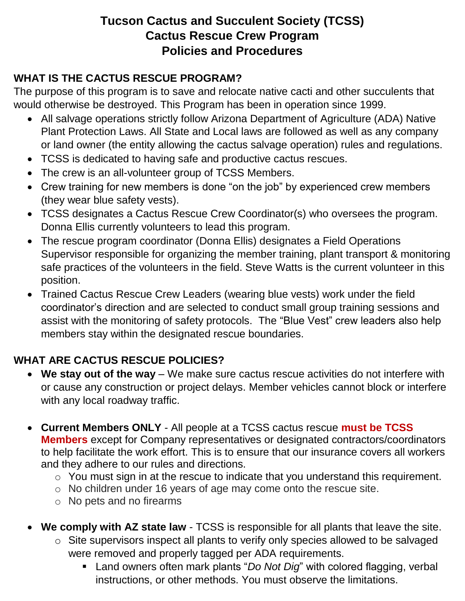## **Tucson Cactus and Succulent Society (TCSS) Cactus Rescue Crew Program Policies and Procedures**

### **WHAT IS THE CACTUS RESCUE PROGRAM?**

The purpose of this program is to save and relocate native cacti and other succulents that would otherwise be destroyed. This Program has been in operation since 1999.

- All salvage operations strictly follow Arizona Department of Agriculture (ADA) Native Plant Protection Laws. All State and Local laws are followed as well as any company or land owner (the entity allowing the cactus salvage operation) rules and regulations.
- TCSS is dedicated to having safe and productive cactus rescues.
- The crew is an all-volunteer group of TCSS Members.
- Crew training for new members is done "on the job" by experienced crew members (they wear blue safety vests).
- TCSS designates a Cactus Rescue Crew Coordinator(s) who oversees the program. Donna Ellis currently volunteers to lead this program.
- The rescue program coordinator (Donna Ellis) designates a Field Operations Supervisor responsible for organizing the member training, plant transport & monitoring safe practices of the volunteers in the field. Steve Watts is the current volunteer in this position.
- Trained Cactus Rescue Crew Leaders (wearing blue vests) work under the field coordinator's direction and are selected to conduct small group training sessions and assist with the monitoring of safety protocols. The "Blue Vest" crew leaders also help members stay within the designated rescue boundaries.

# **WHAT ARE CACTUS RESCUE POLICIES?**

- **We stay out of the way** We make sure cactus rescue activities do not interfere with or cause any construction or project delays. Member vehicles cannot block or interfere with any local roadway traffic.
- **Current Members ONLY** All people at a TCSS cactus rescue **must be TCSS Members** except for Company representatives or designated contractors/coordinators to help facilitate the work effort. This is to ensure that our insurance covers all workers and they adhere to our rules and directions.
	- o You must sign in at the rescue to indicate that you understand this requirement.
	- o No children under 16 years of age may come onto the rescue site.
	- o No pets and no firearms
- **We comply with AZ state law** TCSS is responsible for all plants that leave the site.
	- o Site supervisors inspect all plants to verify only species allowed to be salvaged were removed and properly tagged per ADA requirements.
		- Land owners often mark plants "*Do Not Dig*" with colored flagging, verbal instructions, or other methods. You must observe the limitations.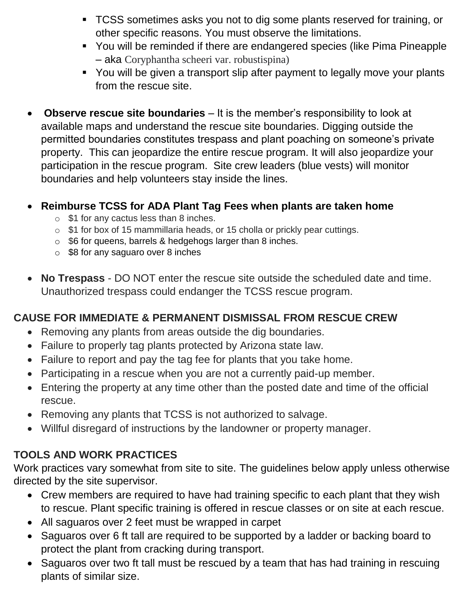- TCSS sometimes asks you not to dig some plants reserved for training, or other specific reasons. You must observe the limitations.
- You will be reminded if there are endangered species (like Pima Pineapple – aka Coryphantha scheeri var. robustispina)
- You will be given a transport slip after payment to legally move your plants from the rescue site.
- **Observe rescue site boundaries** It is the member's responsibility to look at available maps and understand the rescue site boundaries. Digging outside the permitted boundaries constitutes trespass and plant poaching on someone's private property. This can jeopardize the entire rescue program. It will also jeopardize your participation in the rescue program. Site crew leaders (blue vests) will monitor boundaries and help volunteers stay inside the lines.

#### • **Reimburse TCSS for ADA Plant Tag Fees when plants are taken home**

- $\circ$  \$1 for any cactus less than 8 inches.
- o \$1 for box of 15 mammillaria heads, or 15 cholla or prickly pear cuttings.
- $\circ$  \$6 for queens, barrels & hedgehogs larger than 8 inches.
- $\circ$  \$8 for any saguaro over 8 inches
- **No Trespass** DO NOT enter the rescue site outside the scheduled date and time. Unauthorized trespass could endanger the TCSS rescue program.

#### **CAUSE FOR IMMEDIATE & PERMANENT DISMISSAL FROM RESCUE CREW**

- Removing any plants from areas outside the dig boundaries.
- Failure to properly tag plants protected by Arizona state law.
- Failure to report and pay the tag fee for plants that you take home.
- Participating in a rescue when you are not a currently paid-up member.
- Entering the property at any time other than the posted date and time of the official rescue.
- Removing any plants that TCSS is not authorized to salvage.
- Willful disregard of instructions by the landowner or property manager.

### **TOOLS AND WORK PRACTICES**

Work practices vary somewhat from site to site. The guidelines below apply unless otherwise directed by the site supervisor.

- Crew members are required to have had training specific to each plant that they wish to rescue. Plant specific training is offered in rescue classes or on site at each rescue.
- All saguaros over 2 feet must be wrapped in carpet
- Saguaros over 6 ft tall are required to be supported by a ladder or backing board to protect the plant from cracking during transport.
- Saguaros over two ft tall must be rescued by a team that has had training in rescuing plants of similar size.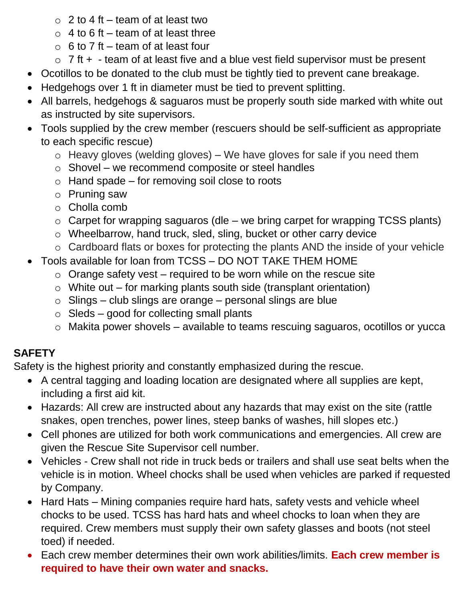- $\circ$  2 to 4 ft team of at least two
- $\circ$  4 to 6 ft team of at least three
- $\circ$  6 to 7 ft team of at least four
- $\circ$  7 ft + team of at least five and a blue vest field supervisor must be present
- Ocotillos to be donated to the club must be tightly tied to prevent cane breakage.
- Hedgehogs over 1 ft in diameter must be tied to prevent splitting.
- All barrels, hedgehogs & saguaros must be properly south side marked with white out as instructed by site supervisors.
- Tools supplied by the crew member (rescuers should be self-sufficient as appropriate to each specific rescue)
	- $\circ$  Heavy gloves (welding gloves) We have gloves for sale if you need them
	- o Shovel we recommend composite or steel handles
	- $\circ$  Hand spade for removing soil close to roots
	- o Pruning saw
	- o Cholla comb
	- $\circ$  Carpet for wrapping saguaros (dle we bring carpet for wrapping TCSS plants)
	- o Wheelbarrow, hand truck, sled, sling, bucket or other carry device
	- o Cardboard flats or boxes for protecting the plants AND the inside of your vehicle
- Tools available for loan from TCSS DO NOT TAKE THEM HOME
	- $\circ$  Orange safety vest required to be worn while on the rescue site
	- $\circ$  White out for marking plants south side (transplant orientation)
	- $\circ$  Slings club slings are orange personal slings are blue
	- $\circ$  Sleds good for collecting small plants
	- o Makita power shovels available to teams rescuing saguaros, ocotillos or yucca

# **SAFETY**

Safety is the highest priority and constantly emphasized during the rescue.

- A central tagging and loading location are designated where all supplies are kept, including a first aid kit.
- Hazards: All crew are instructed about any hazards that may exist on the site (rattle snakes, open trenches, power lines, steep banks of washes, hill slopes etc.)
- Cell phones are utilized for both work communications and emergencies. All crew are given the Rescue Site Supervisor cell number.
- Vehicles Crew shall not ride in truck beds or trailers and shall use seat belts when the vehicle is in motion. Wheel chocks shall be used when vehicles are parked if requested by Company.
- Hard Hats Mining companies require hard hats, safety vests and vehicle wheel chocks to be used. TCSS has hard hats and wheel chocks to loan when they are required. Crew members must supply their own safety glasses and boots (not steel toed) if needed.
- Each crew member determines their own work abilities/limits. **Each crew member is required to have their own water and snacks.**